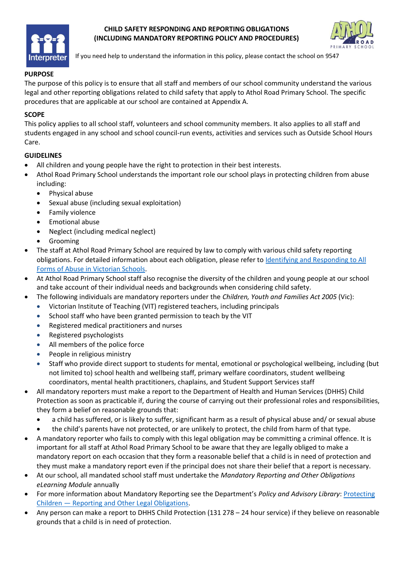

### **CHILD SAFETY RESPONDING AND REPORTING OBLIGATIONS (INCLUDING MANDATORY REPORTING POLICY AND PROCEDURES)**



If you need help to understand the information in this policy, please contact the school on 9547

## **PURPOSE**

The purpose of this policy is to ensure that all staff and members of our school community understand the various legal and other reporting obligations related to child safety that apply to Athol Road Primary School. The specific procedures that are applicable at our school are contained at Appendix A.

### **SCOPE**

This policy applies to all school staff, volunteers and school community members. It also applies to all staff and students engaged in any school and school council-run events, activities and services such as Outside School Hours Care.

#### **GUIDELINES**

- All children and young people have the right to protection in their best interests.
- Athol Road Primary School understands the important role our school plays in protecting children from abuse including:
	- Physical abuse
	- Sexual abuse (including sexual exploitation)
	- Family violence
	- Emotional abuse
	- Neglect (including medical neglect)
	- Grooming
- The staff at Athol Road Primary School are required by law to comply with various child safety reporting obligations. For detailed information about each obligation, please refer to Identifying and Responding to All [Forms of Abuse in Victorian Schools.](https://www.education.vic.gov.au/Documents/about/programs/health/protect/ChildSafeStandard5_SchoolsGuide.pdf)
- At Athol Road Primary School staff also recognise the diversity of the children and young people at our school and take account of their individual needs and backgrounds when considering child safety.
- The following individuals are mandatory reporters under the *Children, Youth and Families Act 2005* (Vic):
	- Victorian Institute of Teaching (VIT) registered teachers, including principals
	- School staff who have been granted permission to teach by the VIT
	- Registered medical practitioners and nurses
	- Registered psychologists
	- All members of the police force
	- People in religious ministry
	- Staff who provide direct support to students for mental, emotional or psychological wellbeing, including (but not limited to) school health and wellbeing staff, primary welfare coordinators, student wellbeing coordinators, mental health practitioners, chaplains, and Student Support Services staff
- All mandatory reporters must make a report to the Department of Health and Human Services (DHHS) Child Protection as soon as practicable if, during the course of carrying out their professional roles and responsibilities, they form a belief on reasonable grounds that:
	- a child has suffered, or is likely to suffer, significant harm as a result of physical abuse and/ or sexual abuse
	- the child's parents have not protected, or are unlikely to protect, the child from harm of that type.
- A mandatory reporter who fails to comply with this legal obligation may be committing a criminal offence. It is important for all staff at Athol Road Primary School to be aware that they are legally obliged to make a mandatory report on each occasion that they form a reasonable belief that a child is in need of protection and they must make a mandatory report even if the principal does not share their belief that a report is necessary.
- At our school, all mandated school staff must undertake the *Mandatory Reporting and Other Obligations eLearning Module* annually
- For more information about Mandatory Reporting see the Department's *Policy and Advisory Library*[: Protecting](https://www2.education.vic.gov.au/pal/protecting-children/policy)  Children — [Reporting and Other Legal Obligations.](https://www2.education.vic.gov.au/pal/protecting-children/policy)
- Any person can make a report to DHHS Child Protection (131 278 24 hour service) if they believe on reasonable grounds that a child is in need of protection.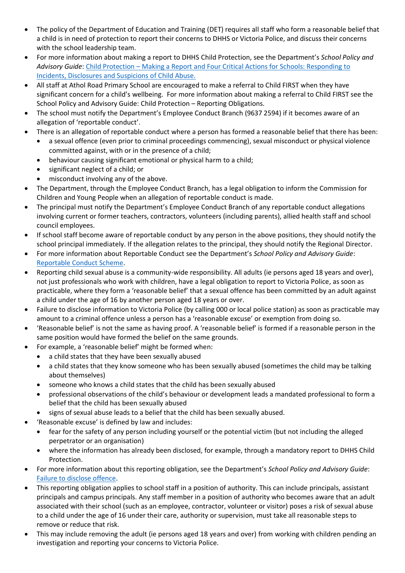- The policy of the Department of Education and Training (DET) requires all staff who form a reasonable belief that a child is in need of protection to report their concerns to DHHS or Victoria Police, and discuss their concerns with the school leadership team.
- For more information about making a report to DHHS Child Protection, see the Department's *School Policy and Advisory Guide*: [Child Protection](http://www.education.vic.gov.au/school/principals/spag/safety/Pages/childprotectreporting.aspx) – Making a Report and [Four Critical Actions for Schools: Responding to](https://www.education.vic.gov.au/Documents/about/programs/health/protect/FourCriticalActions_ChildAbuse.pdf)  [Incidents, Disclosures and Suspicions of Child Abuse.](https://www.education.vic.gov.au/Documents/about/programs/health/protect/FourCriticalActions_ChildAbuse.pdf)
- All staff at Athol Road Primary School are encouraged to make a referral to Child FIRST when they have significant concern for a child's wellbeing. For more information about making a referral to Child FIRST see the School Policy and Advisory Guide: [Child Protection](https://www.education.vic.gov.au/school/principals/spag/safety/Pages/childprotectobligation.aspx) – Reporting Obligations.
- The school must notify the Department's Employee Conduct Branch (9637 2594) if it becomes aware of an allegation of 'reportable conduct'.
- There is an allegation of reportable conduct where a person has formed a reasonable belief that there has been:
	- a sexual offence (even prior to criminal proceedings commencing), sexual misconduct or physical violence committed against, with or in the presence of a child;
	- behaviour causing significant emotional or physical harm to a child;
	- significant neglect of a child; or
	- misconduct involving any of the above.
- The Department, through the Employee Conduct Branch, has a legal obligation to inform the Commission for Children and Young People when an allegation of reportable conduct is made.
- The principal must notify the Department's Employee Conduct Branch of any reportable conduct allegations involving current or former teachers, contractors, volunteers (including parents), allied health staff and school council employees.
- If school staff become aware of reportable conduct by any person in the above positions, they should notify the school principal immediately. If the allegation relates to the principal, they should notify the Regional Director.
- For more information about Reportable Conduct see the Department's *School Policy and Advisory Guide*: [Reportable Conduct Scheme.](http://www.education.vic.gov.au/school/principals/spag/safety/Pages/reportableconductscheme.aspx)
- Reporting child sexual abuse is a community-wide responsibility. All adults (ie persons aged 18 years and over), not just professionals who work with children, have a legal obligation to report to Victoria Police, as soon as practicable, where they form a 'reasonable belief' that a sexual offence has been committed by an adult against a child under the age of 16 by another person aged 18 years or over.
- Failure to disclose information to Victoria Police (by calling 000 or local police station) as soon as practicable may amount to a criminal offence unless a person has a 'reasonable excuse' or exemption from doing so.
- 'Reasonable belief' is not the same as having proof. A 'reasonable belief' is formed if a reasonable person in the same position would have formed the belief on the same grounds.
- For example, a 'reasonable belief' might be formed when:
	- a child states that they have been sexually abused
	- a child states that they know someone who has been sexually abused (sometimes the child may be talking about themselves)
	- someone who knows a child states that the child has been sexually abused
	- professional observations of the child's behaviour or development leads a mandated professional to form a belief that the child has been sexually abused
	- signs of sexual abuse leads to a belief that the child has been sexually abused.
	- 'Reasonable excuse' is defined by law and includes:
		- fear for the safety of any person including yourself or the potential victim (but not including the alleged perpetrator or an organisation)
		- where the information has already been disclosed, for example, through a mandatory report to DHHS Child Protection.
- For more information about this reporting obligation, see the Department's *School Policy and Advisory Guide*: [Failure to disclose offence.](http://www.education.vic.gov.au/school/principals/spag/safety/Pages/childprotectobligation.aspx)
- This reporting obligation applies to school staff in a position of authority. This can include principals, assistant principals and campus principals. Any staff member in a position of authority who becomes aware that an adult associated with their school (such as an employee, contractor, volunteer or visitor) poses a risk of sexual abuse to a child under the age of 16 under their care, authority or supervision, must take all reasonable steps to remove or reduce that risk.
- This may include removing the adult (ie persons aged 18 years and over) from working with children pending an investigation and reporting your concerns to Victoria Police.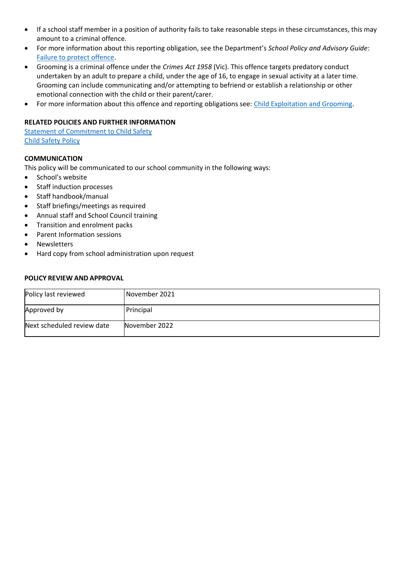- If a school staff member in a position of authority fails to take reasonable steps in these circumstances, this may amount to a criminal offence.
- For more information about this reporting obligation, see the Department's *School Policy and Advisory Guide*: [Failure to protect offence.](http://www.education.vic.gov.au/school/principals/spag/safety/Pages/childprotectobligation.aspx)
- Grooming is a criminal offence under the *Crimes Act 1958* (Vic). This offence targets predatory conduct undertaken by an adult to prepare a child, under the age of 16, to engage in sexual activity at a later time. Grooming can include communicating and/or attempting to befriend or establish a relationship or other emotional connection with the child or their parent/carer.
- For more information about this offence and reporting obligations see: [Child Exploitation and Grooming.](https://www.education.vic.gov.au/school/teachers/health/childprotection/Pages/expolitationgrooming.aspx)

#### **RELATED POLICIES AND FURTHER INFORMATION**

Statement [of Commitment to Child Safety](https://atholroadps.vic.edu.au/parents/#policies) [Child Safety Policy](https://atholroadps.vic.edu.au/parents/#policies)

#### **COMMUNICATION**

This policy will be communicated to our school community in the following ways:

- School's website
- Staff induction processes
- Staff handbook/manual
- Staff briefings/meetings as required
- Annual staff and School Council training
- Transition and enrolment packs
- Parent Information sessions
- **Newsletters**
- Hard copy from school administration upon request

#### **POLICY REVIEW AND APPROVAL**

| Policy last reviewed       | November 2021 |
|----------------------------|---------------|
| Approved by                | Principal     |
| Next scheduled review date | November 2022 |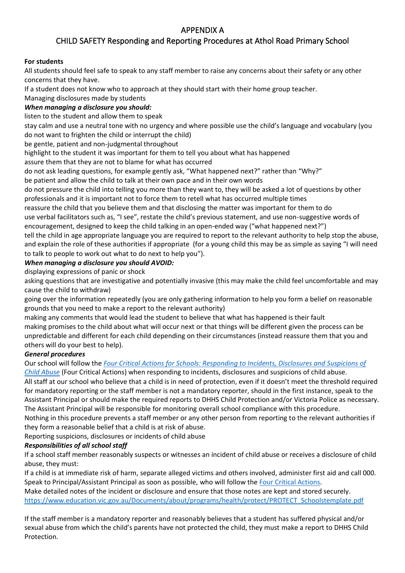# APPENDIX A

# CHILD SAFETY Responding and Reporting Procedures at Athol Road Primary School

### **For students**

All students should feel safe to speak to any staff member to raise any concerns about their safety or any other concerns that they have.

If a student does not know who to approach at they should start with their home group teacher.

Managing disclosures made by students

## *When managing a disclosure you should:*

listen to the student and allow them to speak

stay calm and use a neutral tone with no urgency and where possible use the child's language and vocabulary (you do not want to frighten the child or interrupt the child)

be gentle, patient and non-judgmental throughout

highlight to the student it was important for them to tell you about what has happened

assure them that they are not to blame for what has occurred

do not ask leading questions, for example gently ask, "What happened next?" rather than "Why?"

be patient and allow the child to talk at their own pace and in their own words

do not pressure the child into telling you more than they want to, they will be asked a lot of questions by other professionals and it is important not to force them to retell what has occurred multiple times

reassure the child that you believe them and that disclosing the matter was important for them to do use verbal facilitators such as, "I see", restate the child's previous statement, and use non-suggestive words of encouragement, designed to keep the child talking in an open-ended way ("what happened next?")

tell the child in age appropriate language you are required to report to the relevant authority to help stop the abuse, and explain the role of these authorities if appropriate (for a young child this may be as simple as saying "I will need to talk to people to work out what to do next to help you").

# *When managing a disclosure you should AVOID:*

displaying expressions of panic or shock

asking questions that are investigative and potentially invasive (this may make the child feel uncomfortable and may cause the child to withdraw)

going over the information repeatedly (you are only gathering information to help you form a belief on reasonable grounds that you need to make a report to the relevant authority)

making any comments that would lead the student to believe that what has happened is their fault making promises to the child about what will occur next or that things will be different given the process can be unpredictable and different for each child depending on their circumstances (instead reassure them that you and others will do your best to help).

# *General procedures*

Our school will follow the *[Four Critical Actions for Schools: Responding to Incidents, Disclosures and Suspicions of](https://www.education.vic.gov.au/Documents/about/programs/health/protect/FourCriticalActions_ChildAbuse.pdf)  [Child Abuse](https://www.education.vic.gov.au/Documents/about/programs/health/protect/FourCriticalActions_ChildAbuse.pdf)* (Four Critical Actions) when responding to incidents, disclosures and suspicions of child abuse.

All staff at our school who believe that a child is in need of protection, even if it doesn't meet the threshold required for mandatory reporting or the staff member is not a mandatory reporter, should in the first instance, speak to the Assistant Principal or should make the required reports to DHHS Child Protection and/or Victoria Police as necessary. The Assistant Principal will be responsible for monitoring overall school compliance with this procedure.

Nothing in this procedure prevents a staff member or any other person from reporting to the relevant authorities if they form a reasonable belief that a child is at risk of abuse.

Reporting suspicions, disclosures or incidents of child abuse

# *Responsibilities of all school staff*

If a school staff member reasonably suspects or witnesses an incident of child abuse or receives a disclosure of child abuse, they must:

If a child is at immediate risk of harm, separate alleged victims and others involved, administer first aid and call 000. Speak to Principal/Assistant Principal as soon as possible, who will follow the [Four Critical Actions.](https://www.education.vic.gov.au/Documents/about/programs/health/protect/FourCriticalActions_ChildAbuse.pdf)

Make detailed notes of the incident or disclosure and ensure that those notes are kept and stored securely. [https://www.education.vic.gov.au/Documents/about/programs/health/protect/PROTECT\\_Schoolstemplate.pdf](https://www.education.vic.gov.au/Documents/about/programs/health/protect/PROTECT_Schoolstemplate.pdf)

If the staff member is a mandatory reporter and reasonably believes that a student has suffered physical and/or sexual abuse from which the child's parents have not protected the child, they must make a report to DHHS Child Protection.